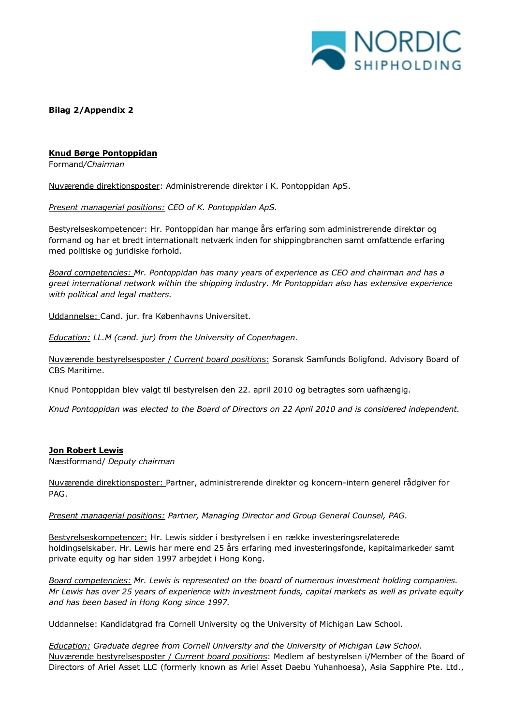

**Bilag 2/Appendix 2**

## **Knud Børge Pontoppidan**

Formand*/Chairman* 

Nuværende direktionsposter: Administrerende direktør i K. Pontoppidan ApS.

*Present managerial positions: CEO of K. Pontoppidan ApS.*

Bestyrelseskompetencer: Hr. Pontoppidan har mange års erfaring som administrerende direktør og formand og har et bredt internationalt netværk inden for shippingbranchen samt omfattende erfaring med politiske og juridiske forhold.

*Board competencies: Mr. Pontoppidan has many years of experience as CEO and chairman and has a great international network within the shipping industry. Mr Pontoppidan also has extensive experience with political and legal matters.* 

Uddannelse: Cand. jur. fra Københavns Universitet.

*Education: LL.M (cand. jur) from the University of Copenhagen.*

Nuværende bestyrelsesposter / *Current board position*s: Soransk Samfunds Boligfond. Advisory Board of CBS Maritime.

Knud Pontoppidan blev valgt til bestyrelsen den 22. april 2010 og betragtes som uafhængig.

*Knud Pontoppidan was elected to the Board of Directors on 22 April 2010 and is considered independent.*

#### **Jon Robert Lewis**

Næstformand/ *Deputy chairman*

Nuværende direktionsposter: Partner, administrerende direktør og koncern-intern generel rådgiver for PAG.

*Present managerial positions: Partner, Managing Director and Group General Counsel, PAG.*

Bestyrelseskompetencer: Hr. Lewis sidder i bestyrelsen i en række investeringsrelaterede holdingselskaber. Hr. Lewis har mere end 25 års erfaring med investeringsfonde, kapitalmarkeder samt private equity og har siden 1997 arbejdet i Hong Kong.

*Board competencies: Mr. Lewis is represented on the board of numerous investment holding companies. Mr Lewis has over 25 years of experience with investment funds, capital markets as well as private equity and has been based in Hong Kong since 1997.*

Uddannelse: Kandidatgrad fra Cornell University og the University of Michigan Law School.

*Education: Graduate degree from Cornell University and the University of Michigan Law School.* Nuværende bestyrelsesposter / *Current board position*s: Medlem af bestyrelsen i/Member of the Board of Directors of Ariel Asset LLC (formerly known as Ariel Asset Daebu Yuhanhoesa), Asia Sapphire Pte. Ltd.,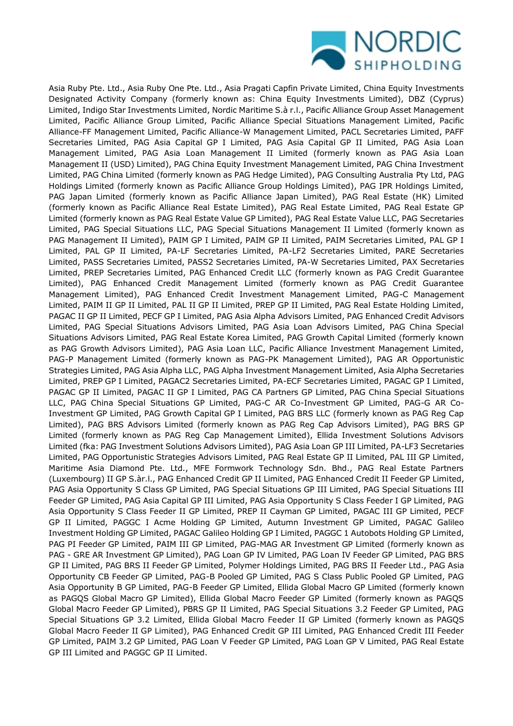

Asia Ruby Pte. Ltd., Asia Ruby One Pte. Ltd., Asia Pragati Capfin Private Limited, China Equity Investments Designated Activity Company (formerly known as: China Equity Investments Limited), DBZ (Cyprus) Limited, Indigo Star Investments Limited, Nordic Maritime S.à r.l., Pacific Alliance Group Asset Management Limited, Pacific Alliance Group Limited, Pacific Alliance Special Situations Management Limited, Pacific Alliance-FF Management Limited, Pacific Alliance-W Management Limited, PACL Secretaries Limited, PAFF Secretaries Limited, PAG Asia Capital GP I Limited, PAG Asia Capital GP II Limited, PAG Asia Loan Management Limited, PAG Asia Loan Management II Limited (formerly known as PAG Asia Loan Management II (USD) Limited), PAG China Equity Investment Management Limited, PAG China Investment Limited, PAG China Limited (formerly known as PAG Hedge Limited), PAG Consulting Australia Pty Ltd, PAG Holdings Limited (formerly known as Pacific Alliance Group Holdings Limited), PAG IPR Holdings Limited, PAG Japan Limited (formerly known as Pacific Alliance Japan Limited), PAG Real Estate (HK) Limited (formerly known as Pacific Alliance Real Estate Limited), PAG Real Estate Limited, PAG Real Estate GP Limited (formerly known as PAG Real Estate Value GP Limited), PAG Real Estate Value LLC, PAG Secretaries Limited, PAG Special Situations LLC, PAG Special Situations Management II Limited (formerly known as PAG Management II Limited), PAIM GP I Limited, PAIM GP II Limited, PAIM Secretaries Limited, PAL GP I Limited, PAL GP II Limited, PA-LF Secretaries Limited, PA-LF2 Secretaries Limited, PARE Secretaries Limited, PASS Secretaries Limited, PASS2 Secretaries Limited, PA-W Secretaries Limited, PAX Secretaries Limited, PREP Secretaries Limited, PAG Enhanced Credit LLC (formerly known as PAG Credit Guarantee Limited), PAG Enhanced Credit Management Limited (formerly known as PAG Credit Guarantee Management Limited), PAG Enhanced Credit Investment Management Limited, PAG-C Management Limited, PAIM II GP II Limited, PAL II GP II Limited, PREP GP II Limited, PAG Real Estate Holding Limited, PAGAC II GP II Limited, PECF GP I Limited, PAG Asia Alpha Advisors Limited, PAG Enhanced Credit Advisors Limited, PAG Special Situations Advisors Limited, PAG Asia Loan Advisors Limited, PAG China Special Situations Advisors Limited, PAG Real Estate Korea Limited, PAG Growth Capital Limited (formerly known as PAG Growth Advisors Limited), PAG Asia Loan LLC, Pacific Alliance Investment Management Limited, PAG-P Management Limited (formerly known as PAG-PK Management Limited), PAG AR Opportunistic Strategies Limited, PAG Asia Alpha LLC, PAG Alpha Investment Management Limited, Asia Alpha Secretaries Limited, PREP GP I Limited, PAGAC2 Secretaries Limited, PA-ECF Secretaries Limited, PAGAC GP I Limited, PAGAC GP II Limited, PAGAC II GP I Limited, PAG CA Partners GP Limited, PAG China Special Situations LLC, PAG China Special Situations GP Limited, PAG-C AR Co-Investment GP Limited, PAG-G AR Co-Investment GP Limited, PAG Growth Capital GP I Limited, PAG BRS LLC (formerly known as PAG Reg Cap Limited), PAG BRS Advisors Limited (formerly known as PAG Reg Cap Advisors Limited), PAG BRS GP Limited (formerly known as PAG Reg Cap Management Limited), Ellida Investment Solutions Advisors Limited (fka: PAG Investment Solutions Advisors Limited), PAG Asia Loan GP III Limited, PA-LF3 Secretaries Limited, PAG Opportunistic Strategies Advisors Limited, PAG Real Estate GP II Limited, PAL III GP Limited, Maritime Asia Diamond Pte. Ltd., MFE Formwork Technology Sdn. Bhd., PAG Real Estate Partners (Luxembourg) II GP S.àr.l., PAG Enhanced Credit GP II Limited, PAG Enhanced Credit II Feeder GP Limited, PAG Asia Opportunity S Class GP Limited, PAG Special Situations GP III Limited, PAG Special Situations III Feeder GP Limited, PAG Asia Capital GP III Limited, PAG Asia Opportunity S Class Feeder I GP Limited, PAG Asia Opportunity S Class Feeder II GP Limited, PREP II Cayman GP Limited, PAGAC III GP Limited, PECF GP II Limited, PAGGC I Acme Holding GP Limited, Autumn Investment GP Limited, PAGAC Galileo Investment Holding GP Limited, PAGAC Galileo Holding GP I Limited, PAGGC 1 Autobots Holding GP Limited, PAG PI Feeder GP Limited, PAIM III GP Limited, PAG-MAG AR Investment GP Limited (formerly known as PAG - GRE AR Investment GP Limited), PAG Loan GP IV Limited, PAG Loan IV Feeder GP Limited, PAG BRS GP II Limited, PAG BRS II Feeder GP Limited, Polymer Holdings Limited, PAG BRS II Feeder Ltd., PAG Asia Opportunity CB Feeder GP Limited, PAG-B Pooled GP Limited, PAG S Class Public Pooled GP Limited, PAG Asia Opportunity B GP Limited, PAG-B Feeder GP Limited, Ellida Global Macro GP Limited (formerly known as PAGQS Global Macro GP Limited), Ellida Global Macro Feeder GP Limited (formerly known as PAGQS Global Macro Feeder GP Limited), PBRS GP II Limited, PAG Special Situations 3.2 Feeder GP Limited, PAG Special Situations GP 3.2 Limited, Ellida Global Macro Feeder II GP Limited (formerly known as PAGQS Global Macro Feeder II GP Limited), PAG Enhanced Credit GP III Limited, PAG Enhanced Credit III Feeder GP Limited, PAIM 3.2 GP Limited, PAG Loan V Feeder GP Limited, PAG Loan GP V Limited, PAG Real Estate GP III Limited and PAGGC GP II Limited.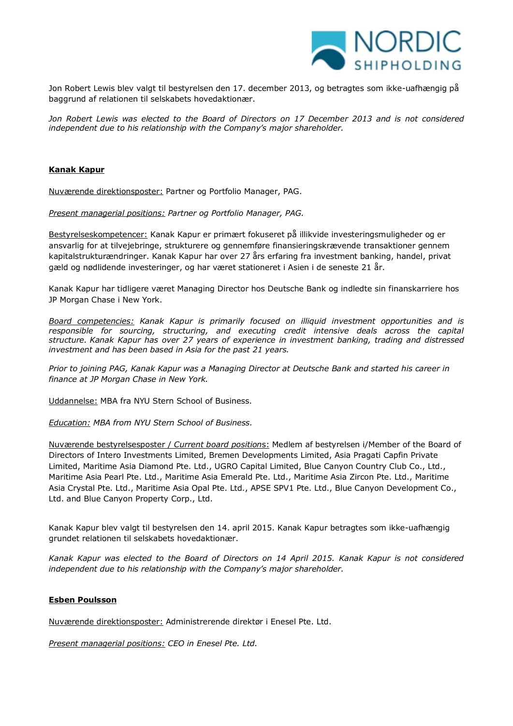

Jon Robert Lewis blev valgt til bestyrelsen den 17. december 2013, og betragtes som ikke-uafhængig på baggrund af relationen til selskabets hovedaktionær.

Jon Robert Lewis was elected to the Board of Directors on 17 December 2013 and is not considered *independent due to his relationship with the Company's major shareholder.*

## **Kanak Kapur**

Nuværende direktionsposter: Partner og Portfolio Manager, PAG.

*Present managerial positions: Partner og Portfolio Manager, PAG.*

Bestyrelseskompetencer: Kanak Kapur er primært fokuseret på illikvide investeringsmuligheder og er ansvarlig for at tilvejebringe, strukturere og gennemføre finansieringskrævende transaktioner gennem kapitalstrukturændringer. Kanak Kapur har over 27 års erfaring fra investment banking, handel, privat gæld og nødlidende investeringer, og har været stationeret i Asien i de seneste 21 år.

Kanak Kapur har tidligere været Managing Director hos Deutsche Bank og indledte sin finanskarriere hos JP Morgan Chase i New York.

*Board competencies: Kanak Kapur is primarily focused on illiquid investment opportunities and is responsible for sourcing, structuring, and executing credit intensive deals across the capital structure. Kanak Kapur has over 27 years of experience in investment banking, trading and distressed investment and has been based in Asia for the past 21 years.*

*Prior to joining PAG, Kanak Kapur was a Managing Director at Deutsche Bank and started his career in finance at JP Morgan Chase in New York.*

Uddannelse: MBA fra NYU Stern School of Business.

*Education: MBA from NYU Stern School of Business.*

Nuværende bestyrelsesposter / *Current board position*s: Medlem af bestyrelsen i/Member of the Board of Directors of Intero Investments Limited, Bremen Developments Limited, Asia Pragati Capfin Private Limited, Maritime Asia Diamond Pte. Ltd., UGRO Capital Limited, Blue Canyon Country Club Co., Ltd., Maritime Asia Pearl Pte. Ltd., Maritime Asia Emerald Pte. Ltd., Maritime Asia Zircon Pte. Ltd., Maritime Asia Crystal Pte. Ltd., Maritime Asia Opal Pte. Ltd., APSE SPV1 Pte. Ltd., Blue Canyon Development Co., Ltd. and Blue Canyon Property Corp., Ltd.

Kanak Kapur blev valgt til bestyrelsen den 14. april 2015. Kanak Kapur betragtes som ikke-uafhængig grundet relationen til selskabets hovedaktionær.

*Kanak Kapur was elected to the Board of Directors on 14 April 2015. Kanak Kapur is not considered independent due to his relationship with the Company's major shareholder.* 

#### **Esben Poulsson**

Nuværende direktionsposter: Administrerende direktør i Enesel Pte. Ltd.

*Present managerial positions: CEO in Enesel Pte. Ltd.*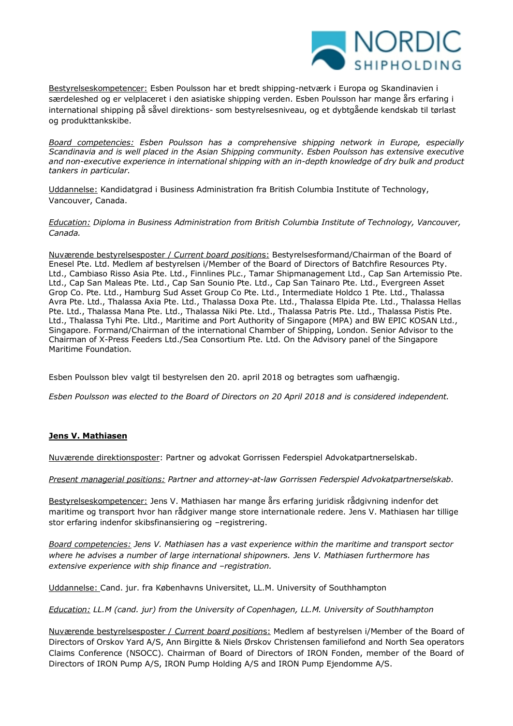

Bestyrelseskompetencer: Esben Poulsson har et bredt shipping-netværk i Europa og Skandinavien i særdeleshed og er velplaceret i den asiatiske shipping verden. Esben Poulsson har mange års erfaring i international shipping på såvel direktions- som bestyrelsesniveau, og et dybtgående kendskab til tørlast og produkttankskibe.

*Board competencies: Esben Poulsson has a comprehensive shipping network in Europe, especially Scandinavia and is well placed in the Asian Shipping community. Esben Poulsson has extensive executive and non-executive experience in international shipping with an in-depth knowledge of dry bulk and product tankers in particular.*

Uddannelse: Kandidatgrad i Business Administration fra British Columbia Institute of Technology, Vancouver, Canada.

*Education: Diploma in Business Administration from British Columbia Institute of Technology, Vancouver, Canada.*

Nuværende bestyrelsesposter / *Current board position*s: Bestyrelsesformand/Chairman of the Board of Enesel Pte. Ltd. Medlem af bestyrelsen i/Member of the Board of Directors of Batchfire Resources Pty. Ltd., Cambiaso Risso Asia Pte. Ltd., Finnlines PLc., Tamar Shipmanagement Ltd., Cap San Artemissio Pte. Ltd., Cap San Maleas Pte. Ltd., Cap San Sounio Pte. Ltd., Cap San Tainaro Pte. Ltd., Evergreen Asset Grop Co. Pte. Ltd., Hamburg Sud Asset Group Co Pte. Ltd., Intermediate Holdco 1 Pte. Ltd., Thalassa Avra Pte. Ltd., Thalassa Axia Pte. Ltd., Thalassa Doxa Pte. Ltd., Thalassa Elpida Pte. Ltd., Thalassa Hellas Pte. Ltd., Thalassa Mana Pte. Ltd., Thalassa Niki Pte. Ltd., Thalassa Patris Pte. Ltd., Thalassa Pistis Pte. Ltd., Thalassa Tyhi Pte. Lltd., Maritime and Port Authority of Singapore (MPA) and BW EPIC KOSAN Ltd., Singapore. Formand/Chairman of the international Chamber of Shipping, London. Senior Advisor to the Chairman of X-Press Feeders Ltd./Sea Consortium Pte. Ltd. On the Advisory panel of the Singapore Maritime Foundation.

Esben Poulsson blev valgt til bestyrelsen den 20. april 2018 og betragtes som uafhængig.

*Esben Poulsson was elected to the Board of Directors on 20 April 2018 and is considered independent.*

#### **Jens V. Mathiasen**

Nuværende direktionsposter: Partner og advokat Gorrissen Federspiel Advokatpartnerselskab.

*Present managerial positions: Partner and attorney-at-law Gorrissen Federspiel Advokatpartnerselskab.*

Bestyrelseskompetencer: Jens V. Mathiasen har mange års erfaring juridisk rådgivning indenfor det maritime og transport hvor han rådgiver mange store internationale redere. Jens V. Mathiasen har tillige stor erfaring indenfor skibsfinansiering og -registrering.

*Board competencies: Jens V. Mathiasen has a vast experience within the maritime and transport sector where he advises a number of large international shipowners. Jens V. Mathiasen furthermore has extensive experience with ship finance and –registration.* 

Uddannelse: Cand. jur. fra Københavns Universitet, LL.M. University of Southhampton

*Education: LL.M (cand. jur) from the University of Copenhagen, LL.M. University of Southhampton*

Nuværende bestyrelsesposter / *Current board position*s: Medlem af bestyrelsen i/Member of the Board of Directors of Orskov Yard A/S, Ann Birgitte & Niels Ørskov Christensen familiefond and North Sea operators Claims Conference (NSOCC). Chairman of Board of Directors of IRON Fonden, member of the Board of Directors of IRON Pump A/S, IRON Pump Holding A/S and IRON Pump Ejendomme A/S.